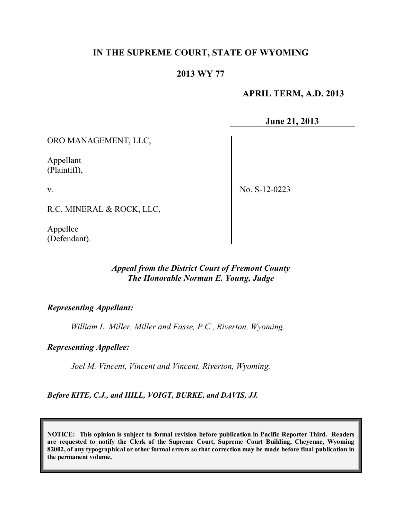# **IN THE SUPREME COURT, STATE OF WYOMING**

## **2013 WY 77**

## **APRIL TERM, A.D. 2013**

**June 21, 2013**

ORO MANAGEMENT, LLC,

Appellant (Plaintiff),

v.

No. S-12-0223

R.C. MINERAL & ROCK, LLC,

Appellee (Defendant).

# *Appeal from the District Court of Fremont County The Honorable Norman E. Young, Judge*

#### *Representing Appellant:*

*William L. Miller, Miller and Fasse, P.C., Riverton, Wyoming.*

#### *Representing Appellee:*

*Joel M. Vincent, Vincent and Vincent, Riverton, Wyoming.*

*Before KITE, C.J., and HILL, VOIGT, BURKE, and DAVIS, JJ.*

**NOTICE: This opinion is subject to formal revision before publication in Pacific Reporter Third. Readers are requested to notify the Clerk of the Supreme Court, Supreme Court Building, Cheyenne, Wyoming** 82002, of any typographical or other formal errors so that correction may be made before final publication in **the permanent volume.**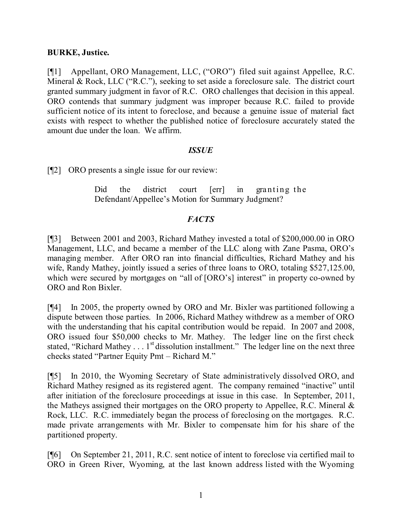## **BURKE, Justice.**

[¶1] Appellant, ORO Management, LLC, ("ORO") filed suit against Appellee, R.C. Mineral & Rock, LLC ("R.C."), seeking to set aside a foreclosure sale. The district court granted summary judgment in favor of R.C. ORO challenges that decision in this appeal. ORO contends that summary judgment was improper because R.C. failed to provide sufficient notice of its intent to foreclose, and because a genuine issue of material fact exists with respect to whether the published notice of foreclosure accurately stated the amount due under the loan. We affirm.

#### *ISSUE*

[¶2] ORO presents a single issue for our review:

Did the district court [err] in granting the Defendant/Appellee's Motion for Summary Judgment?

# *FACTS*

[¶3] Between 2001 and 2003, Richard Mathey invested a total of \$200,000.00 in ORO Management, LLC, and became a member of the LLC along with Zane Pasma, ORO's managing member. After ORO ran into financial difficulties, Richard Mathey and his wife, Randy Mathey, jointly issued a series of three loans to ORO, totaling \$527,125.00, which were secured by mortgages on "all of [ORO's] interest" in property co-owned by ORO and Ron Bixler.

[¶4] In 2005, the property owned by ORO and Mr. Bixler was partitioned following a dispute between those parties. In 2006, Richard Mathey withdrew as a member of ORO with the understanding that his capital contribution would be repaid. In 2007 and 2008, ORO issued four \$50,000 checks to Mr. Mathey. The ledger line on the first check stated, "Richard Mathey . . . 1<sup>st</sup> dissolution installment." The ledger line on the next three checks stated "Partner Equity Pmt – Richard M."

[¶5] In 2010, the Wyoming Secretary of State administratively dissolved ORO, and Richard Mathey resigned as its registered agent. The company remained "inactive" until after initiation of the foreclosure proceedings at issue in this case. In September, 2011, the Matheys assigned their mortgages on the ORO property to Appellee, R.C. Mineral & Rock, LLC. R.C. immediately began the process of foreclosing on the mortgages. R.C. made private arrangements with Mr. Bixler to compensate him for his share of the partitioned property.

[¶6] On September 21, 2011, R.C. sent notice of intent to foreclose via certified mail to ORO in Green River, Wyoming, at the last known address listed with the Wyoming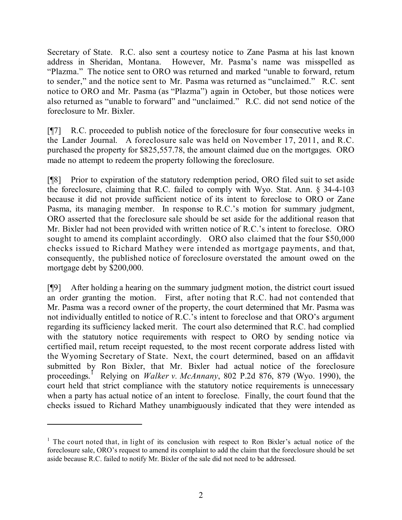Secretary of State. R.C. also sent a courtesy notice to Zane Pasma at his last known address in Sheridan, Montana. However, Mr. Pasma's name was misspelled as "Plazma." The notice sent to ORO was returned and marked "unable to forward, return to sender," and the notice sent to Mr. Pasma was returned as "unclaimed." R.C. sent notice to ORO and Mr. Pasma (as "Plazma") again in October, but those notices were also returned as "unable to forward" and "unclaimed." R.C. did not send notice of the foreclosure to Mr. Bixler.

[¶7] R.C. proceeded to publish notice of the foreclosure for four consecutive weeks in the Lander Journal. A foreclosure sale was held on November 17, 2011, and R.C. purchased the property for \$825,557.78, the amount claimed due on the mortgages. ORO made no attempt to redeem the property following the foreclosure.

[¶8] Prior to expiration of the statutory redemption period, ORO filed suit to set aside the foreclosure, claiming that R.C. failed to comply with Wyo. Stat. Ann. § 34-4-103 because it did not provide sufficient notice of its intent to foreclose to ORO or Zane Pasma, its managing member. In response to R.C.'s motion for summary judgment, ORO asserted that the foreclosure sale should be set aside for the additional reason that Mr. Bixler had not been provided with written notice of R.C.'s intent to foreclose. ORO sought to amend its complaint accordingly. ORO also claimed that the four \$50,000 checks issued to Richard Mathey were intended as mortgage payments, and that, consequently, the published notice of foreclosure overstated the amount owed on the mortgage debt by \$200,000.

[¶9] After holding a hearing on the summary judgment motion, the district court issued an order granting the motion. First, after noting that R.C. had not contended that Mr. Pasma was a record owner of the property, the court determined that Mr. Pasma was not individually entitled to notice of R.C.'s intent to foreclose and that ORO's argument regarding its sufficiency lacked merit. The court also determined that R.C. had complied with the statutory notice requirements with respect to ORO by sending notice via certified mail, return receipt requested, to the most recent corporate address listed with the Wyoming Secretary of State. Next, the court determined, based on an affidavit submitted by Ron Bixler, that Mr. Bixler had actual notice of the foreclosure proceedings. <sup>1</sup> Relying on *Walker v. McAnnany*, 802 P.2d 876, 879 (Wyo. 1990), the court held that strict compliance with the statutory notice requirements is unnecessary when a party has actual notice of an intent to foreclose. Finally, the court found that the checks issued to Richard Mathey unambiguously indicated that they were intended as

 $1$  The court noted that, in light of its conclusion with respect to Ron Bixler's actual notice of the foreclosure sale, ORO's request to amend its complaint to add the claim that the foreclosure should be set aside because R.C. failed to notify Mr. Bixler of the sale did not need to be addressed.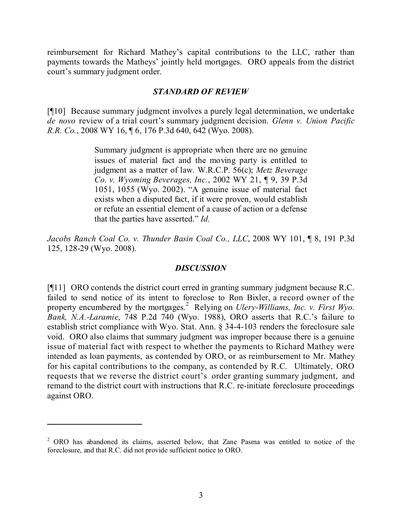reimbursement for Richard Mathey's capital contributions to the LLC, rather than payments towards the Matheys' jointly held mortgages. ORO appeals from the district court's summary judgment order.

#### *STANDARD OF REVIEW*

[¶10] Because summary judgment involves a purely legal determination, we undertake *de novo* review of a trial court's summary judgment decision. *Glenn v. Union Pacific R.R. Co.*, 2008 WY 16, ¶ 6, 176 P.3d 640, 642 (Wyo. 2008).

> Summary judgment is appropriate when there are no genuine issues of material fact and the moving party is entitled to judgment as a matter of law. W.R.C.P. 56(c); *Metz Beverage Co. v. Wyoming Beverages, Inc.*, 2002 WY 21, ¶ 9, 39 P.3d 1051, 1055 (Wyo. 2002). "A genuine issue of material fact exists when a disputed fact, if it were proven, would establish or refute an essential element of a cause of action or a defense that the parties have asserted." *Id.*

*Jacobs Ranch Coal Co. v. Thunder Basin Coal Co., LLC*, 2008 WY 101, ¶ 8, 191 P.3d 125, 128-29 (Wyo. 2008).

## *DISCUSSION*

[¶11] ORO contends the district court erred in granting summary judgment because R.C. failed to send notice of its intent to foreclose to Ron Bixler, a record owner of the property encumbered by the mortgages. <sup>2</sup> Relying on *Ulery-Williams, Inc. v. First Wyo. Bank, N.A.-Laramie*, 748 P.2d 740 (Wyo. 1988), ORO asserts that R.C.'s failure to establish strict compliance with Wyo. Stat. Ann. § 34-4-103 renders the foreclosure sale void. ORO also claims that summary judgment was improper because there is a genuine issue of material fact with respect to whether the payments to Richard Mathey were intended as loan payments, as contended by ORO, or as reimbursement to Mr. Mathey for his capital contributions to the company, as contended by R.C. Ultimately, ORO requests that we reverse the district court's order granting summary judgment, and remand to the district court with instructions that R.C. re-initiate foreclosure proceedings against ORO.

<sup>&</sup>lt;sup>2</sup> ORO has abandoned its claims, asserted below, that Zane Pasma was entitled to notice of the foreclosure, and that R.C. did not provide sufficient notice to ORO.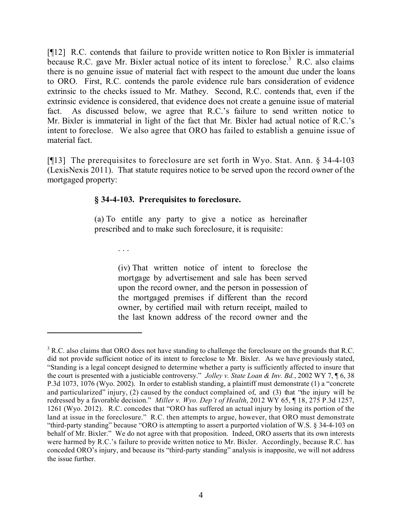[¶12] R.C. contends that failure to provide written notice to Ron Bixler is immaterial because R.C. gave Mr. Bixler actual notice of its intent to foreclose.<sup>3</sup> R.C. also claims there is no genuine issue of material fact with respect to the amount due under the loans to ORO. First, R.C. contends the parole evidence rule bars consideration of evidence extrinsic to the checks issued to Mr. Mathey. Second, R.C. contends that, even if the extrinsic evidence is considered, that evidence does not create a genuine issue of material fact. As discussed below, we agree that R.C.'s failure to send written notice to Mr. Bixler is immaterial in light of the fact that Mr. Bixler had actual notice of R.C.'s intent to foreclose. We also agree that ORO has failed to establish a genuine issue of material fact.

[¶13] The prerequisites to foreclosure are set forth in Wyo. Stat. Ann. § 34-4-103 (LexisNexis 2011). That statute requires notice to be served upon the record owner of the mortgaged property:

## **§ 34-4-103. Prerequisites to foreclosure.**

(a) To entitle any party to give a notice as hereinafter prescribed and to make such foreclosure, it is requisite:

. . .

(iv) That written notice of intent to foreclose the mortgage by advertisement and sale has been served upon the record owner, and the person in possession of the mortgaged premises if different than the record owner, by certified mail with return receipt, mailed to the last known address of the record owner and the

<sup>&</sup>lt;sup>3</sup> R.C. also claims that ORO does not have standing to challenge the foreclosure on the grounds that R.C. did not provide sufficient notice of its intent to foreclose to Mr. Bixler. As we have previously stated, "Standing is a legal concept designed to determine whether a party is sufficiently affected to insure that the court is presented with a justiciable controversy." *Jolley v. State Loan & Inv. Bd.*, 2002 WY 7, ¶ 6, 38 P.3d 1073, 1076 (Wyo. 2002). In order to establish standing, a plaintiff must demonstrate (1) a "concrete and particularized" injury, (2) caused by the conduct complained of, and (3) that "the injury will be redressed by a favorable decision." *Miller v. Wyo. Dep't of Health*, 2012 WY 65, ¶ 18, 275 P.3d 1257, 1261 (Wyo. 2012). R.C. concedes that "ORO has suffered an actual injury by losing its portion of the land at issue in the foreclosure." R.C. then attempts to argue, however, that ORO must demonstrate "third-party standing" because "ORO is attempting to assert a purported violation of W.S. § 34-4-103 on behalf of Mr. Bixler." We do not agree with that proposition. Indeed, ORO asserts that its own interests were harmed by R.C.'s failure to provide written notice to Mr. Bixler. Accordingly, because R.C. has conceded ORO's injury, and because its "third-party standing" analysis is inapposite, we will not address the issue further.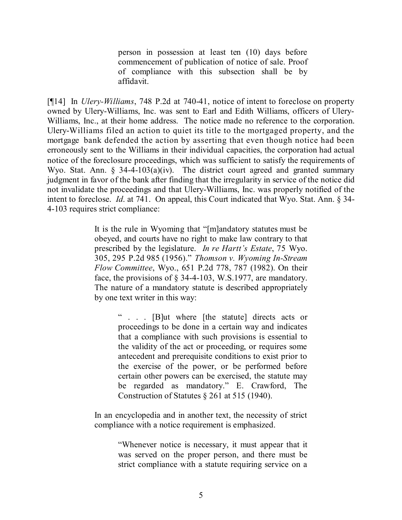person in possession at least ten (10) days before commencement of publication of notice of sale. Proof of compliance with this subsection shall be by affidavit.

[¶14] In *Ulery-Williams*, 748 P.2d at 740-41, notice of intent to foreclose on property owned by Ulery-Williams, Inc. was sent to Earl and Edith Williams, officers of Ulery-Williams, Inc., at their home address. The notice made no reference to the corporation. Ulery-Williams filed an action to quiet its title to the mortgaged property, and the mortgage bank defended the action by asserting that even though notice had been erroneously sent to the Williams in their individual capacities, the corporation had actual notice of the foreclosure proceedings, which was sufficient to satisfy the requirements of Wyo. Stat. Ann. § 34-4-103(a)(iv). The district court agreed and granted summary judgment in favor of the bank after finding that the irregularity in service of the notice did not invalidate the proceedings and that Ulery-Williams, Inc. was properly notified of the intent to foreclose. *Id*. at 741. On appeal, this Court indicated that Wyo. Stat. Ann. § 34- 4-103 requires strict compliance:

> It is the rule in Wyoming that "[m]andatory statutes must be obeyed, and courts have no right to make law contrary to that prescribed by the legislature. *In re Hartt's Estate*, 75 Wyo. 305, 295 P.2d 985 (1956)." *Thomson v. Wyoming In-Stream Flow Committee*, Wyo., 651 P.2d 778, 787 (1982). On their face, the provisions of § 34-4-103, W.S.1977, are mandatory. The nature of a mandatory statute is described appropriately by one text writer in this way:

> > " . . . [B]ut where [the statute] directs acts or proceedings to be done in a certain way and indicates that a compliance with such provisions is essential to the validity of the act or proceeding, or requires some antecedent and prerequisite conditions to exist prior to the exercise of the power, or be performed before certain other powers can be exercised, the statute may be regarded as mandatory." E. Crawford, The Construction of Statutes § 261 at 515 (1940).

In an encyclopedia and in another text, the necessity of strict compliance with a notice requirement is emphasized.

> "Whenever notice is necessary, it must appear that it was served on the proper person, and there must be strict compliance with a statute requiring service on a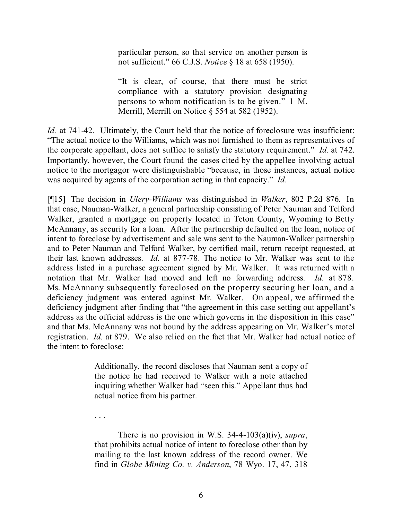particular person, so that service on another person is not sufficient." 66 C.J.S. *Notice* § 18 at 658 (1950).

"It is clear, of course, that there must be strict compliance with a statutory provision designating persons to whom notification is to be given." 1 M. Merrill, Merrill on Notice § 554 at 582 (1952).

*Id.* at 741-42. Ultimately, the Court held that the notice of foreclosure was insufficient: "The actual notice to the Williams, which was not furnished to them as representatives of the corporate appellant, does not suffice to satisfy the statutory requirement." *Id.* at 742. Importantly, however, the Court found the cases cited by the appellee involving actual notice to the mortgagor were distinguishable "because, in those instances, actual notice was acquired by agents of the corporation acting in that capacity." *Id*.

[¶15] The decision in *Ulery-Williams* was distinguished in *Walker*, 802 P.2d 876. In that case, Nauman-Walker, a general partnership consisting of Peter Nauman and Telford Walker, granted a mortgage on property located in Teton County, Wyoming to Betty McAnnany, as security for a loan. After the partnership defaulted on the loan, notice of intent to foreclose by advertisement and sale was sent to the Nauman-Walker partnership and to Peter Nauman and Telford Walker, by certified mail, return receipt requested, at their last known addresses. *Id.* at 877-78. The notice to Mr. Walker was sent to the address listed in a purchase agreement signed by Mr. Walker. It was returned with a notation that Mr. Walker had moved and left no forwarding address. *Id.* at 878. Ms. McAnnany subsequently foreclosed on the property securing her loan, and a deficiency judgment was entered against Mr. Walker. On appeal, we affirmed the deficiency judgment after finding that "the agreement in this case setting out appellant's address as the official address is the one which governs in the disposition in this case" and that Ms. McAnnany was not bound by the address appearing on Mr. Walker's motel registration. *Id.* at 879. We also relied on the fact that Mr. Walker had actual notice of the intent to foreclose:

> Additionally, the record discloses that Nauman sent a copy of the notice he had received to Walker with a note attached inquiring whether Walker had "seen this." Appellant thus had actual notice from his partner.

> There is no provision in W.S. 34-4-103(a)(iv), *supra*, that prohibits actual notice of intent to foreclose other than by mailing to the last known address of the record owner. We find in *Globe Mining Co. v. Anderson*, 78 Wyo. 17, 47, 318

. . .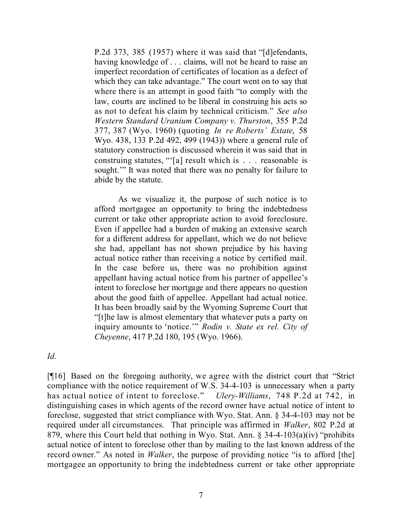P.2d 373, 385 (1957) where it was said that "[d]efendants, having knowledge of . . . claims, will not be heard to raise an imperfect recordation of certificates of location as a defect of which they can take advantage." The court went on to say that where there is an attempt in good faith "to comply with the law, courts are inclined to be liberal in construing his acts so as not to defeat his claim by technical criticism." *See also Western Standard Uranium Company v. Thurston*, 355 P.2d 377, 387 (Wyo. 1960) (quoting *In re Roberts' Estate*, 58 Wyo. 438, 133 P.2d 492, 499 (1943)) where a general rule of statutory construction is discussed wherein it was said that in construing statutes, "'[a] result which is . . . reasonable is sought." It was noted that there was no penalty for failure to abide by the statute.

As we visualize it, the purpose of such notice is to afford mortgagee an opportunity to bring the indebtedness current or take other appropriate action to avoid foreclosure. Even if appellee had a burden of making an extensive search for a different address for appellant, which we do not believe she had, appellant has not shown prejudice by his having actual notice rather than receiving a notice by certified mail. In the case before us, there was no prohibition against appellant having actual notice from his partner of appellee's intent to foreclose her mortgage and there appears no question about the good faith of appellee. Appellant had actual notice. It has been broadly said by the Wyoming Supreme Court that "[t]he law is almost elementary that whatever puts a party on inquiry amounts to 'notice.'" *Rodin v. State ex rel. City of Cheyenne*, 417 P.2d 180, 195 (Wyo. 1966).

*Id.*

[¶16] Based on the foregoing authority, we agree with the district court that "Strict compliance with the notice requirement of W.S. 34-4-103 is unnecessary when a party has actual notice of intent to foreclose." *Ulery-Williams*, 748 P.2d at 742, in distinguishing cases in which agents of the record owner have actual notice of intent to foreclose, suggested that strict compliance with Wyo. Stat. Ann. § 34-4-103 may not be required under all circumstances. That principle was affirmed in *Walker*, 802 P.2d at 879, where this Court held that nothing in Wyo. Stat. Ann. § 34-4-103(a)(iv) "prohibits actual notice of intent to foreclose other than by mailing to the last known address of the record owner." As noted in *Walker*, the purpose of providing notice "is to afford [the] mortgagee an opportunity to bring the indebtedness current or take other appropriate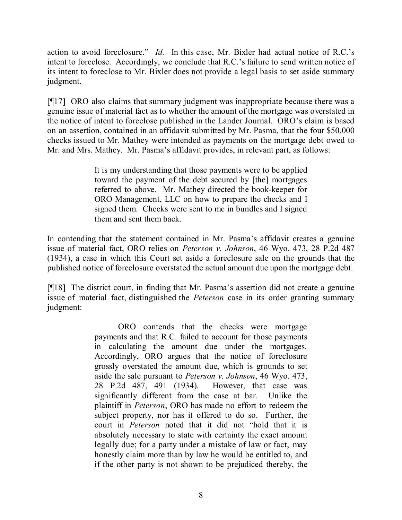action to avoid foreclosure." *Id.* In this case, Mr. Bixler had actual notice of R.C.'s intent to foreclose. Accordingly, we conclude that R.C.'s failure to send written notice of its intent to foreclose to Mr. Bixler does not provide a legal basis to set aside summary judgment.

[¶17] ORO also claims that summary judgment was inappropriate because there was a genuine issue of material fact as to whether the amount of the mortgage was overstated in the notice of intent to foreclose published in the Lander Journal. ORO's claim is based on an assertion, contained in an affidavit submitted by Mr. Pasma, that the four \$50,000 checks issued to Mr. Mathey were intended as payments on the mortgage debt owed to Mr. and Mrs. Mathey. Mr. Pasma's affidavit provides, in relevant part, as follows:

> It is my understanding that those payments were to be applied toward the payment of the debt secured by [the] mortgages referred to above. Mr. Mathey directed the book-keeper for ORO Management, LLC on how to prepare the checks and I signed them. Checks were sent to me in bundles and I signed them and sent them back.

In contending that the statement contained in Mr. Pasma's affidavit creates a genuine issue of material fact, ORO relies on *Peterson v. Johnson*, 46 Wyo. 473, 28 P.2d 487 (1934), a case in which this Court set aside a foreclosure sale on the grounds that the published notice of foreclosure overstated the actual amount due upon the mortgage debt.

[¶18] The district court, in finding that Mr. Pasma's assertion did not create a genuine issue of material fact, distinguished the *Peterson* case in its order granting summary judgment:

> ORO contends that the checks were mortgage payments and that R.C. failed to account for those payments in calculating the amount due under the mortgages. Accordingly, ORO argues that the notice of foreclosure grossly overstated the amount due, which is grounds to set aside the sale pursuant to *Peterson v. Johnson*, 46 Wyo. 473, 28 P.2d 487, 491 (1934). However, that case was significantly different from the case at bar. Unlike the plaintiff in *Peterson*, ORO has made no effort to redeem the subject property, nor has it offered to do so. Further, the court in *Peterson* noted that it did not "hold that it is absolutely necessary to state with certainty the exact amount legally due; for a party under a mistake of law or fact, may honestly claim more than by law he would be entitled to, and if the other party is not shown to be prejudiced thereby, the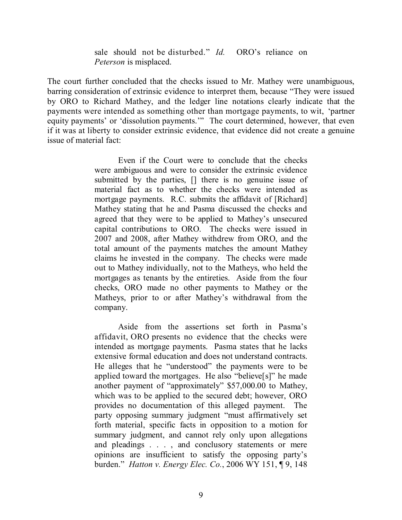sale should not be disturbed." *Id.* ORO's reliance on *Peterson* is misplaced.

The court further concluded that the checks issued to Mr. Mathey were unambiguous, barring consideration of extrinsic evidence to interpret them, because "They were issued by ORO to Richard Mathey, and the ledger line notations clearly indicate that the payments were intended as something other than mortgage payments, to wit, 'partner equity payments' or 'dissolution payments.'" The court determined, however, that even if it was at liberty to consider extrinsic evidence, that evidence did not create a genuine issue of material fact:

> Even if the Court were to conclude that the checks were ambiguous and were to consider the extrinsic evidence submitted by the parties, [] there is no genuine issue of material fact as to whether the checks were intended as mortgage payments. R.C. submits the affidavit of [Richard] Mathey stating that he and Pasma discussed the checks and agreed that they were to be applied to Mathey's unsecured capital contributions to ORO. The checks were issued in 2007 and 2008, after Mathey withdrew from ORO, and the total amount of the payments matches the amount Mathey claims he invested in the company. The checks were made out to Mathey individually, not to the Matheys, who held the mortgages as tenants by the entireties. Aside from the four checks, ORO made no other payments to Mathey or the Matheys, prior to or after Mathey's withdrawal from the company.

> Aside from the assertions set forth in Pasma's affidavit, ORO presents no evidence that the checks were intended as mortgage payments. Pasma states that he lacks extensive formal education and does not understand contracts. He alleges that he "understood" the payments were to be applied toward the mortgages. He also "believe[s]" he made another payment of "approximately" \$57,000.00 to Mathey, which was to be applied to the secured debt; however, ORO provides no documentation of this alleged payment. The party opposing summary judgment "must affirmatively set forth material, specific facts in opposition to a motion for summary judgment, and cannot rely only upon allegations and pleadings . . . , and conclusory statements or mere opinions are insufficient to satisfy the opposing party's burden." *Hatton v. Energy Elec. Co.*, 2006 WY 151, ¶ 9, 148